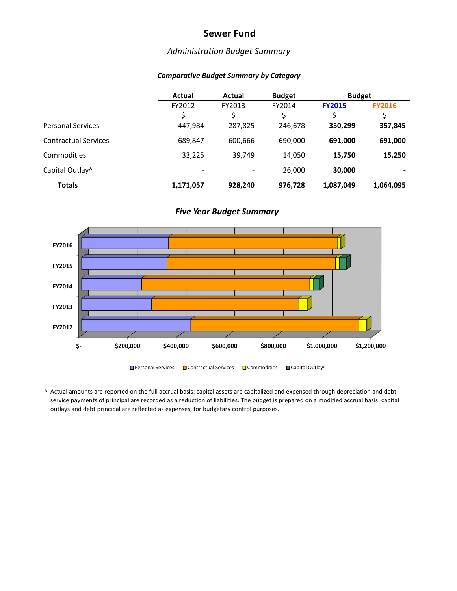## *Administration Budget Summary*

| <b>Comparative Budget Summary by Category</b> |  |  |  |  |
|-----------------------------------------------|--|--|--|--|
|-----------------------------------------------|--|--|--|--|

|                             | Actual                   | Actual                   | <b>Budget</b> | <b>Budget</b>      |                     |
|-----------------------------|--------------------------|--------------------------|---------------|--------------------|---------------------|
|                             | FY2012<br>\$             | FY2013                   | FY2014        | <b>FY2015</b><br>Ś | <b>FY2016</b><br>\$ |
| <b>Personal Services</b>    | 447,984                  | 287,825                  | 246,678       | 350,299            | 357,845             |
| <b>Contractual Services</b> | 689,847                  | 600,666                  | 690,000       | 691,000            | 691,000             |
| Commodities                 | 33,225                   | 39,749                   | 14,050        | 15,750             | 15,250              |
| Capital Outlay <sup>^</sup> | $\overline{\phantom{a}}$ | $\overline{\phantom{a}}$ | 26,000        | 30,000             |                     |
| <b>Totals</b>               | 1,171,057                | 928,240                  | 976,728       | 1,087,049          | 1,064,095           |

#### *Five Year Budget Summary*

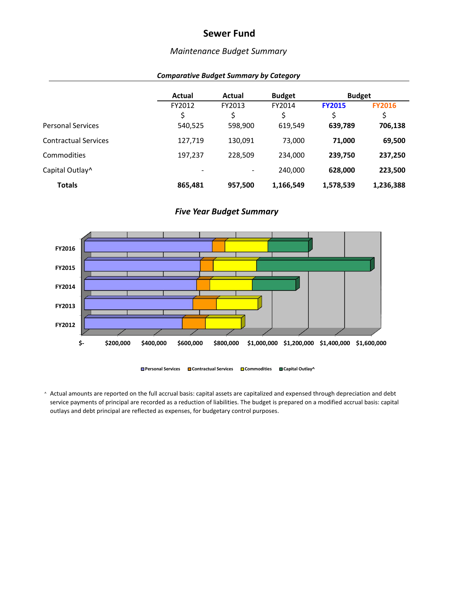## *Maintenance Budget Summary*

|  | <b>Comparative Budget Summary by Category</b> |  |
|--|-----------------------------------------------|--|
|--|-----------------------------------------------|--|

|                             | Actual  | Actual  | <b>Budget</b> | <b>Budget</b> |               |
|-----------------------------|---------|---------|---------------|---------------|---------------|
|                             | FY2012  | FY2013  | FY2014        | <b>FY2015</b> | <b>FY2016</b> |
|                             | \$      | Ś       |               | \$            | \$            |
| <b>Personal Services</b>    | 540,525 | 598,900 | 619,549       | 639,789       | 706,138       |
| <b>Contractual Services</b> | 127,719 | 130,091 | 73,000        | 71,000        | 69,500        |
| Commodities                 | 197,237 | 228,509 | 234.000       | 239,750       | 237,250       |
| Capital Outlay <sup>^</sup> |         |         | 240,000       | 628,000       | 223,500       |
| <b>Totals</b>               | 865,481 | 957,500 | 1,166,549     | 1,578,539     | 1,236,388     |

#### *Five Year Budget Summary*



**Personal Services Contractual Services Commodities Capital Outlay^**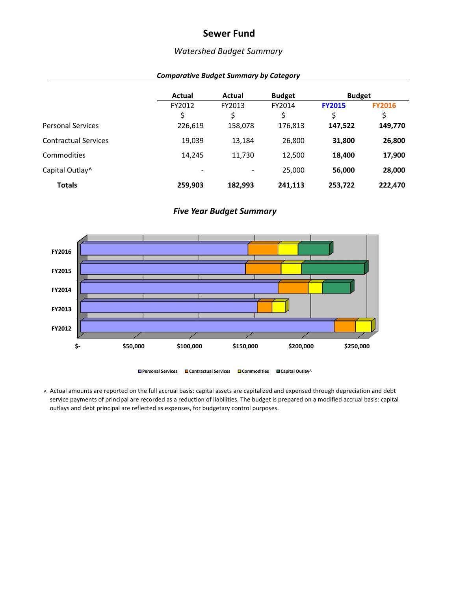## *Watershed Budget Summary*

|                             | Actual                   | Actual  | <b>Budget</b> | <b>Budget</b> |               |
|-----------------------------|--------------------------|---------|---------------|---------------|---------------|
|                             | FY2012                   | FY2013  | FY2014        | <b>FY2015</b> | <b>FY2016</b> |
|                             | \$                       | \$      | Ś             | \$            | \$            |
| <b>Personal Services</b>    | 226,619                  | 158,078 | 176,813       | 147,522       | 149,770       |
| <b>Contractual Services</b> | 19,039                   | 13,184  | 26,800        | 31,800        | 26,800        |
| Commodities                 | 14,245                   | 11,730  | 12,500        | 18,400        | 17,900        |
| Capital Outlay^             | $\overline{\phantom{0}}$ |         | 25,000        | 56,000        | 28,000        |
| <b>Totals</b>               | 259,903                  | 182,993 | 241,113       | 253,722       | 222,470       |

#### *Comparative Budget Summary by Category*

#### *Five Year Budget Summary*

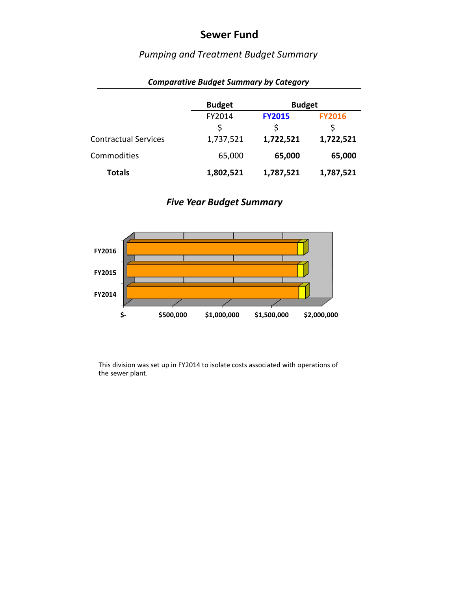# *Pumping and Treatment Budget Summary*

|                             | <b>Budget</b> | <b>Budget</b> |               |
|-----------------------------|---------------|---------------|---------------|
|                             | FY2014        | <b>FY2015</b> | <b>FY2016</b> |
|                             | \$            | \$            | \$            |
| <b>Contractual Services</b> | 1,737,521     | 1,722,521     | 1,722,521     |
| Commodities                 | 65,000        | 65,000        | 65,000        |
| <b>Totals</b>               | 1,802,521     | 1,787,521     | 1,787,521     |

### *Comparative Budget Summary by Category*

*Five Year Budget Summary*



This division was set up in FY2014 to isolate costs associated with operations of the sewer plant.